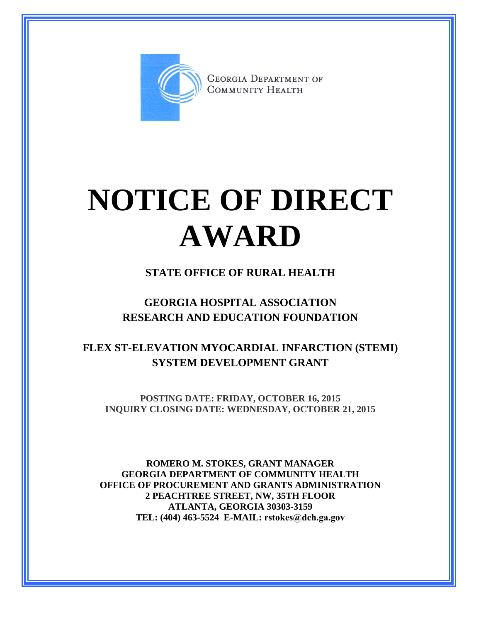

**GEORGIA DEPARTMENT OF** COMMUNITY HEALTH

# **NOTICE OF DIRECT AWARD**

### **STATE OFFICE OF RURAL HEALTH**

### **GEORGIA HOSPITAL ASSOCIATION RESEARCH AND EDUCATION FOUNDATION**

### **FLEX ST-ELEVATION MYOCARDIAL INFARCTION (STEMI) SYSTEM DEVELOPMENT GRANT**

**POSTING DATE: FRIDAY, OCTOBER 16, 2015 INQUIRY CLOSING DATE: WEDNESDAY, OCTOBER 21, 2015**

**ROMERO M. STOKES, GRANT MANAGER GEORGIA DEPARTMENT OF COMMUNITY HEALTH OFFICE OF PROCUREMENT AND GRANTS ADMINISTRATION 2 PEACHTREE STREET, NW, 35TH FLOOR ATLANTA, GEORGIA 30303-3159 TEL: (404) 463-5524 E-MAIL: rstokes@dch.ga.gov**